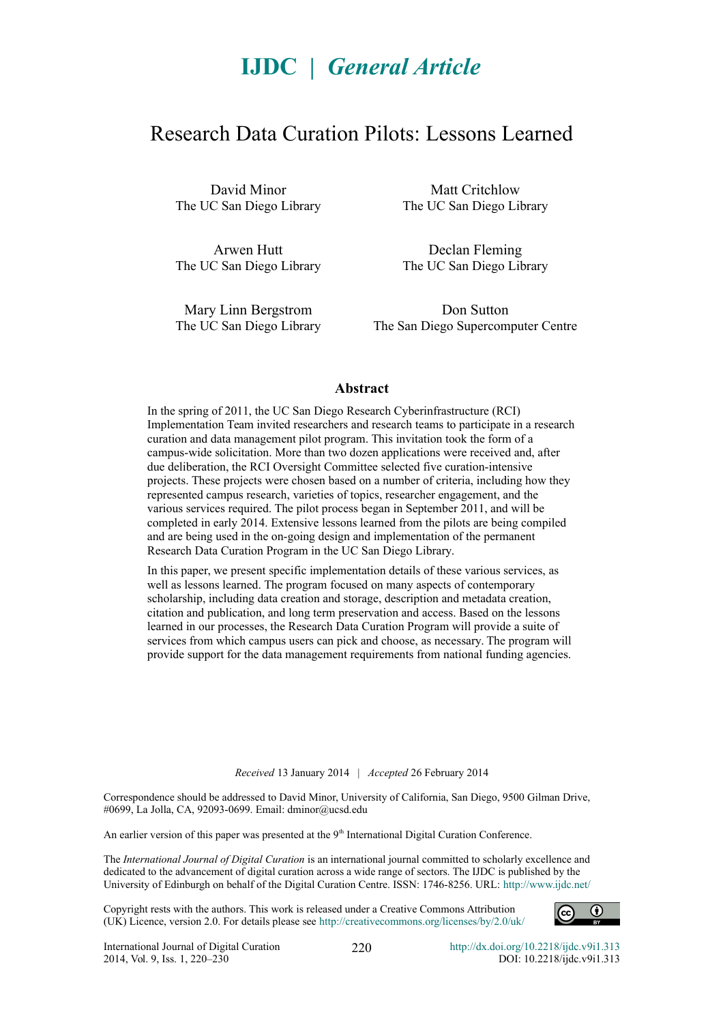# **IJDC |** *General Article*

# Research Data Curation Pilots: Lessons Learned

David Minor The UC San Diego Library

Arwen Hutt The UC San Diego Library

Matt Critchlow The UC San Diego Library

Declan Fleming The UC San Diego Library

Mary Linn Bergstrom The UC San Diego Library

Don Sutton The San Diego Supercomputer Centre

#### **Abstract**

In the spring of 2011, the UC San Diego Research Cyberinfrastructure (RCI) Implementation Team invited researchers and research teams to participate in a research curation and data management pilot program. This invitation took the form of a campus-wide solicitation. More than two dozen applications were received and, after due deliberation, the RCI Oversight Committee selected five curation-intensive projects. These projects were chosen based on a number of criteria, including how they represented campus research, varieties of topics, researcher engagement, and the various services required. The pilot process began in September 2011, and will be completed in early 2014. Extensive lessons learned from the pilots are being compiled and are being used in the on-going design and implementation of the permanent Research Data Curation Program in the UC San Diego Library.

In this paper, we present specific implementation details of these various services, as well as lessons learned. The program focused on many aspects of contemporary scholarship, including data creation and storage, description and metadata creation, citation and publication, and long term preservation and access. Based on the lessons learned in our processes, the Research Data Curation Program will provide a suite of services from which campus users can pick and choose, as necessary. The program will provide support for the data management requirements from national funding agencies.

*Received* 13 January 2014 | *Accepted* 26 February 2014

Correspondence should be addressed to David Minor, University of California, San Diego, 9500 Gilman Drive, #0699, La Jolla, CA, 92093-0699. Email: dminor@ucsd.edu

An earlier version of this paper was presented at the 9<sup>th</sup> International Digital Curation Conference.

The *International Journal of Digital Curation* is an international journal committed to scholarly excellence and dedicated to the advancement of digital curation across a wide range of sectors. The IJDC is published by the University of Edinburgh on behalf of the Digital Curation Centre. ISSN: 1746-8256. URL: http://www.ijdc.net/

Copyright rests with the authors. This work is released under a Creative Commons Attribution (UK) Licence, version 2.0. For details please see<http://creativecommons.org/licenses/by/2.0/uk/>



220 <http://dx.doi.org/10.2218/ijdc.v9i1.313> DOI: 10.2218/ijdc.v9i1.313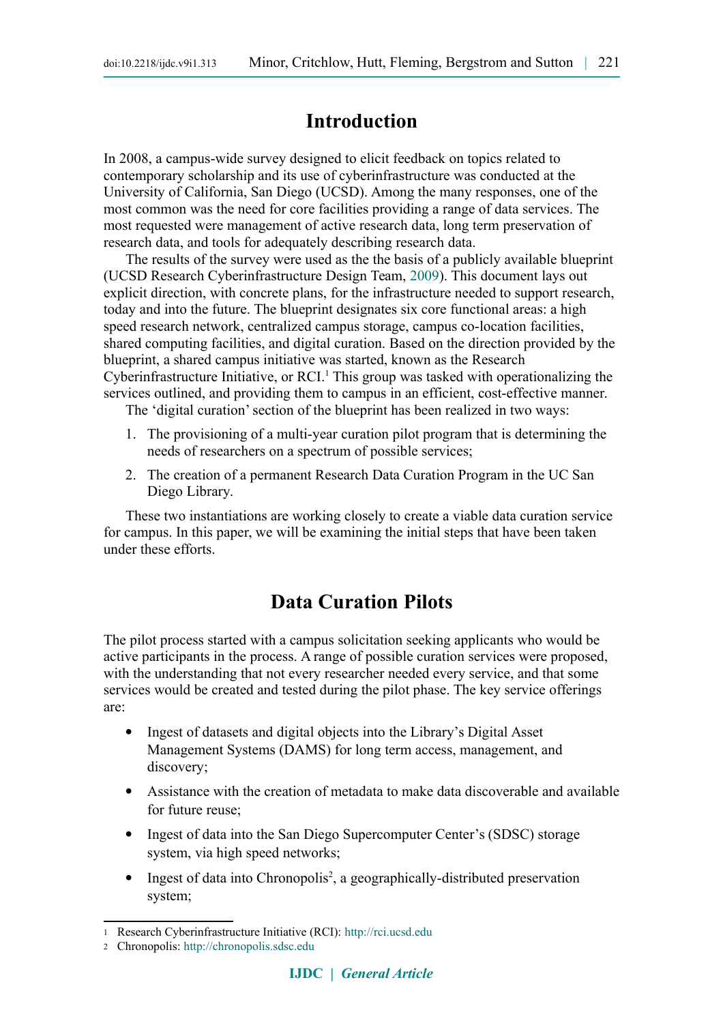# **Introduction**

In 2008, a campus-wide survey designed to elicit feedback on topics related to contemporary scholarship and its use of cyberinfrastructure was conducted at the University of California, San Diego (UCSD). Among the many responses, one of the most common was the need for core facilities providing a range of data services. The most requested were management of active research data, long term preservation of research data, and tools for adequately describing research data.

The results of the survey were used as the the basis of a publicly available blueprint (UCSD Research Cyberinfrastructure Design Team, [2009\)](#page-10-0). This document lays out explicit direction, with concrete plans, for the infrastructure needed to support research, today and into the future. The blueprint designates six core functional areas: a high speed research network, centralized campus storage, campus co-location facilities, shared computing facilities, and digital curation. Based on the direction provided by the blueprint, a shared campus initiative was started, known as the Research Cyberinfrastructure Initiative, or RCI.<sup>[1](#page-1-0)</sup> This group was tasked with operationalizing the services outlined, and providing them to campus in an efficient, cost-effective manner.

The 'digital curation' section of the blueprint has been realized in two ways:

- 1. The provisioning of a multi-year curation pilot program that is determining the needs of researchers on a spectrum of possible services;
- 2. The creation of a permanent Research Data Curation Program in the UC San Diego Library.

These two instantiations are working closely to create a viable data curation service for campus. In this paper, we will be examining the initial steps that have been taken under these efforts.

# **Data Curation Pilots**

The pilot process started with a campus solicitation seeking applicants who would be active participants in the process. A range of possible curation services were proposed, with the understanding that not every researcher needed every service, and that some services would be created and tested during the pilot phase. The key service offerings are:

- Ingest of datasets and digital objects into the Library's Digital Asset Management Systems (DAMS) for long term access, management, and discovery;
- Assistance with the creation of metadata to make data discoverable and available for future reuse;
- Ingest of data into the San Diego Supercomputer Center's (SDSC) storage system, via high speed networks;
- Ingest of data into Chronopolis<sup>[2](#page-1-1)</sup>, a geographically-distributed preservation system;

<span id="page-1-0"></span><sup>1</sup> Research Cyberinfrastructure Initiative (RCI): [http://rci.ucsd.edu](http://rci.ucsd.edu/)

<span id="page-1-1"></span><sup>2</sup> Chronopolis: [http://chronopolis.sdsc.edu](http://chronopolis.sdsc.edu/)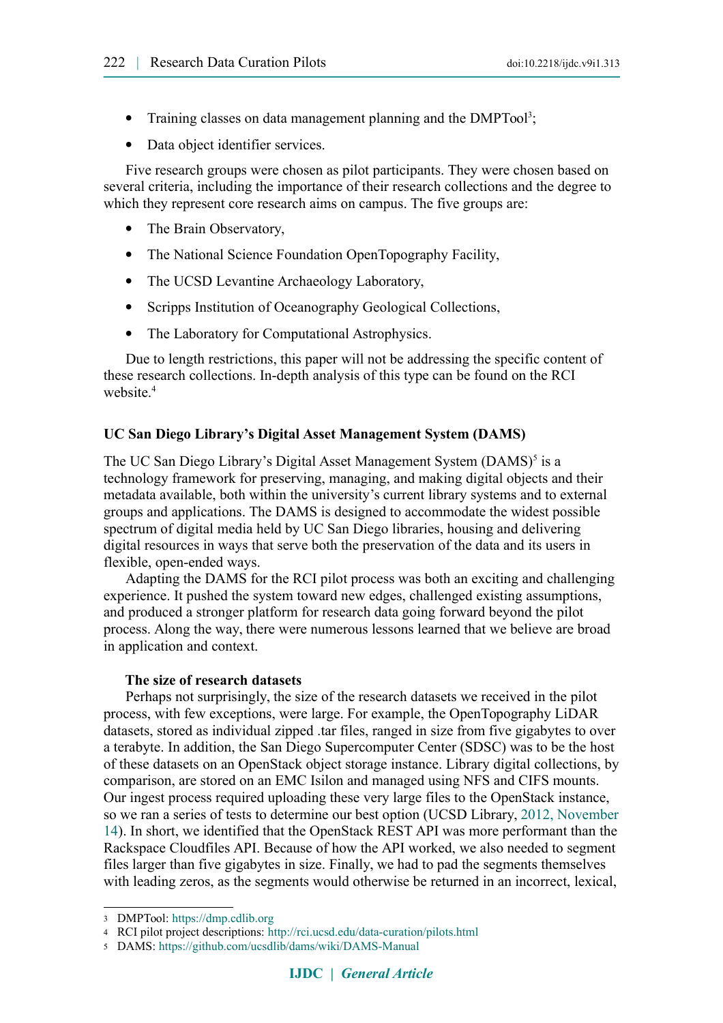- Training classes on data management planning and the DMPTool<sup>[3](#page-2-0)</sup>;
- Data object identifier services.

Five research groups were chosen as pilot participants. They were chosen based on several criteria, including the importance of their research collections and the degree to which they represent core research aims on campus. The five groups are:

- The Brain Observatory,
- The National Science Foundation OpenTopography Facility,
- The UCSD Levantine Archaeology Laboratory,
- Scripps Institution of Oceanography Geological Collections,
- The Laboratory for Computational Astrophysics.

Due to length restrictions, this paper will not be addressing the specific content of these research collections. In-depth analysis of this type can be found on the RCI website.<sup>[4](#page-2-1)</sup>

#### **UC San Diego Library's Digital Asset Management System (DAMS)**

The UC San Diego Library's Digital Asset Management System (DAMS)<sup>[5](#page-2-2)</sup> is a technology framework for preserving, managing, and making digital objects and their metadata available, both within the university's current library systems and to external groups and applications. The DAMS is designed to accommodate the widest possible spectrum of digital media held by UC San Diego libraries, housing and delivering digital resources in ways that serve both the preservation of the data and its users in flexible, open-ended ways.

Adapting the DAMS for the RCI pilot process was both an exciting and challenging experience. It pushed the system toward new edges, challenged existing assumptions, and produced a stronger platform for research data going forward beyond the pilot process. Along the way, there were numerous lessons learned that we believe are broad in application and context.

#### **The size of research datasets**

Perhaps not surprisingly, the size of the research datasets we received in the pilot process, with few exceptions, were large. For example, the OpenTopography LiDAR datasets, stored as individual zipped .tar files, ranged in size from five gigabytes to over a terabyte. In addition, the San Diego Supercomputer Center (SDSC) was to be the host of these datasets on an OpenStack object storage instance. Library digital collections, by comparison, are stored on an EMC Isilon and managed using NFS and CIFS mounts. Our ingest process required uploading these very large files to the OpenStack instance, so we ran a series of tests to determine our best option (UCSD Library, [2012, November](#page-10-1) [14\)](#page-10-1). In short, we identified that the OpenStack REST API was more performant than the Rackspace Cloudfiles API. Because of how the API worked, we also needed to segment files larger than five gigabytes in size. Finally, we had to pad the segments themselves with leading zeros, as the segments would otherwise be returned in an incorrect, lexical,

<span id="page-2-0"></span><sup>3</sup> DMPTool: [https://dmp.cdlib.org](https://dmp.cdlib.org/)

<span id="page-2-1"></span><sup>4</sup> RCI pilot project descriptions: <http://rci.ucsd.edu/data-curation/pilots.html>

<span id="page-2-2"></span><sup>5</sup> DAMS: <https://github.com/ucsdlib/dams/wiki/DAMS-Manual>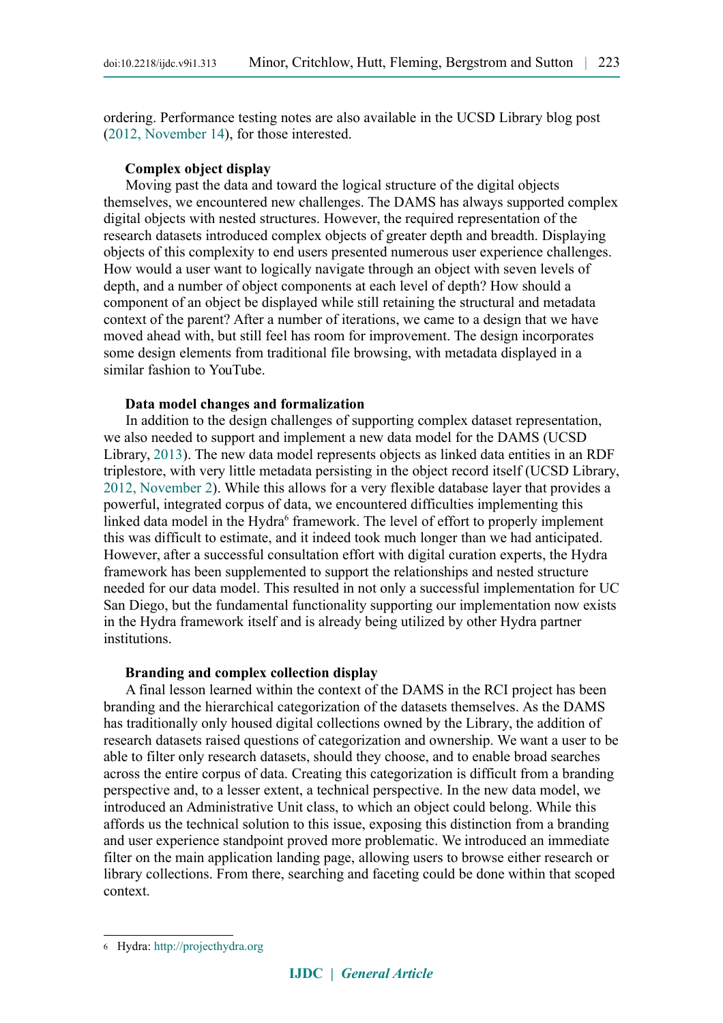ordering. Performance testing notes are also available in the UCSD Library blog post [\(2012, November 14\)](#page-10-1), for those interested.

#### **Complex object display**

Moving past the data and toward the logical structure of the digital objects themselves, we encountered new challenges. The DAMS has always supported complex digital objects with nested structures. However, the required representation of the research datasets introduced complex objects of greater depth and breadth. Displaying objects of this complexity to end users presented numerous user experience challenges. How would a user want to logically navigate through an object with seven levels of depth, and a number of object components at each level of depth? How should a component of an object be displayed while still retaining the structural and metadata context of the parent? After a number of iterations, we came to a design that we have moved ahead with, but still feel has room for improvement. The design incorporates some design elements from traditional file browsing, with metadata displayed in a similar fashion to YouTube.

#### **Data model changes and formalization**

In addition to the design challenges of supporting complex dataset representation, we also needed to support and implement a new data model for the DAMS (UCSD Library, [2013\)](#page-10-3). The new data model represents objects as linked data entities in an RDF triplestore, with very little metadata persisting in the object record itself (UCSD Library, [2012, November 2\)](#page-10-2). While this allows for a very flexible database layer that provides a powerful, integrated corpus of data, we encountered difficulties implementing this linked data model in the Hydra<sup>[6](#page-3-0)</sup> framework. The level of effort to properly implement this was difficult to estimate, and it indeed took much longer than we had anticipated. However, after a successful consultation effort with digital curation experts, the Hydra framework has been supplemented to support the relationships and nested structure needed for our data model. This resulted in not only a successful implementation for UC San Diego, but the fundamental functionality supporting our implementation now exists in the Hydra framework itself and is already being utilized by other Hydra partner institutions.

#### **Branding and complex collection display**

A final lesson learned within the context of the DAMS in the RCI project has been branding and the hierarchical categorization of the datasets themselves. As the DAMS has traditionally only housed digital collections owned by the Library, the addition of research datasets raised questions of categorization and ownership. We want a user to be able to filter only research datasets, should they choose, and to enable broad searches across the entire corpus of data. Creating this categorization is difficult from a branding perspective and, to a lesser extent, a technical perspective. In the new data model, we introduced an Administrative Unit class, to which an object could belong. While this affords us the technical solution to this issue, exposing this distinction from a branding and user experience standpoint proved more problematic. We introduced an immediate filter on the main application landing page, allowing users to browse either research or library collections. From there, searching and faceting could be done within that scoped context.

<span id="page-3-0"></span><sup>6</sup> Hydra: [http://projecthydra.org](http://projecthydra.org/)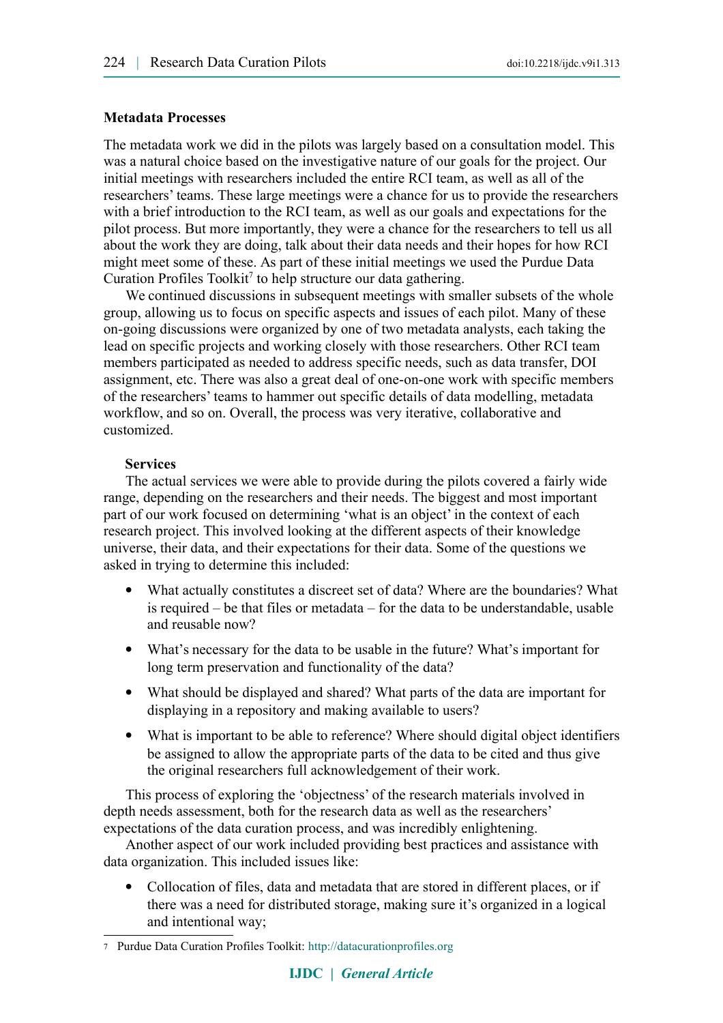#### **Metadata Processes**

The metadata work we did in the pilots was largely based on a consultation model. This was a natural choice based on the investigative nature of our goals for the project. Our initial meetings with researchers included the entire RCI team, as well as all of the researchers' teams. These large meetings were a chance for us to provide the researchers with a brief introduction to the RCI team, as well as our goals and expectations for the pilot process. But more importantly, they were a chance for the researchers to tell us all about the work they are doing, talk about their data needs and their hopes for how RCI might meet some of these. As part of these initial meetings we used the Purdue Data Curation Profiles Toolkit<sup>[7](#page-4-0)</sup> to help structure our data gathering.

We continued discussions in subsequent meetings with smaller subsets of the whole group, allowing us to focus on specific aspects and issues of each pilot. Many of these on-going discussions were organized by one of two metadata analysts, each taking the lead on specific projects and working closely with those researchers. Other RCI team members participated as needed to address specific needs, such as data transfer, DOI assignment, etc. There was also a great deal of one-on-one work with specific members of the researchers' teams to hammer out specific details of data modelling, metadata workflow, and so on. Overall, the process was very iterative, collaborative and customized.

#### **Services**

The actual services we were able to provide during the pilots covered a fairly wide range, depending on the researchers and their needs. The biggest and most important part of our work focused on determining 'what is an object' in the context of each research project. This involved looking at the different aspects of their knowledge universe, their data, and their expectations for their data. Some of the questions we asked in trying to determine this included:

- What actually constitutes a discreet set of data? Where are the boundaries? What is required – be that files or metadata – for the data to be understandable, usable and reusable now?
- What's necessary for the data to be usable in the future? What's important for long term preservation and functionality of the data?
- What should be displayed and shared? What parts of the data are important for displaying in a repository and making available to users?
- What is important to be able to reference? Where should digital object identifiers be assigned to allow the appropriate parts of the data to be cited and thus give the original researchers full acknowledgement of their work.

This process of exploring the 'objectness' of the research materials involved in depth needs assessment, both for the research data as well as the researchers' expectations of the data curation process, and was incredibly enlightening.

Another aspect of our work included providing best practices and assistance with data organization. This included issues like:

 Collocation of files, data and metadata that are stored in different places, or if there was a need for distributed storage, making sure it's organized in a logical and intentional way;

<span id="page-4-0"></span><sup>7</sup> Purdue Data Curation Profiles Toolkit: [http://datacurationprofiles.org](http://datacurationprofiles.org/)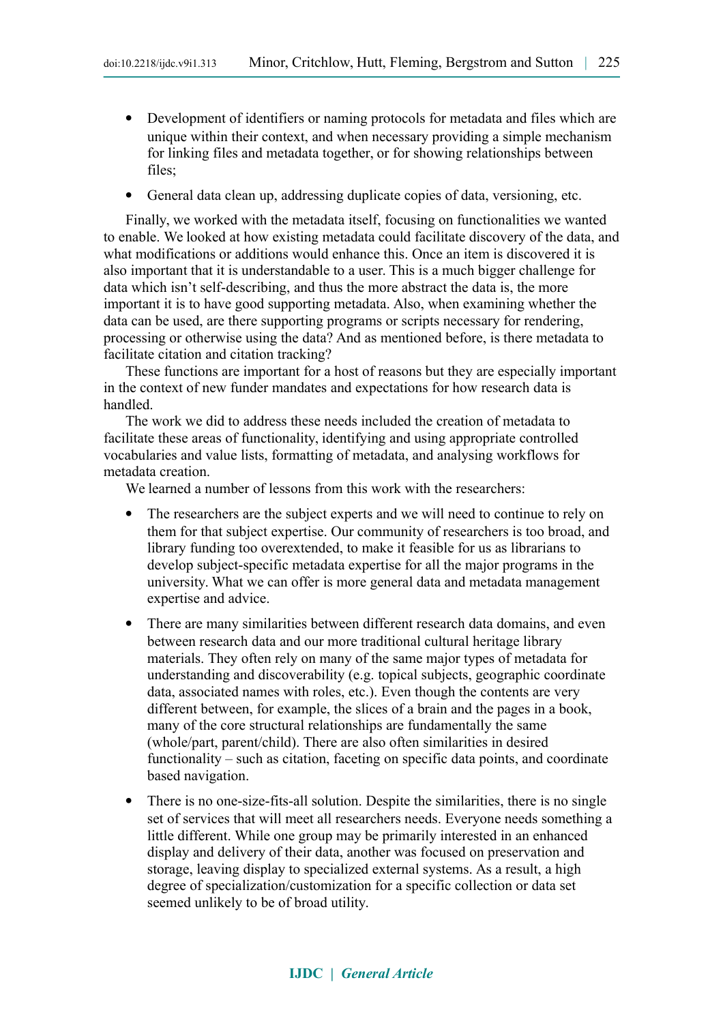- Development of identifiers or naming protocols for metadata and files which are unique within their context, and when necessary providing a simple mechanism for linking files and metadata together, or for showing relationships between files;
- General data clean up, addressing duplicate copies of data, versioning, etc.

Finally, we worked with the metadata itself, focusing on functionalities we wanted to enable. We looked at how existing metadata could facilitate discovery of the data, and what modifications or additions would enhance this. Once an item is discovered it is also important that it is understandable to a user. This is a much bigger challenge for data which isn't self-describing, and thus the more abstract the data is, the more important it is to have good supporting metadata. Also, when examining whether the data can be used, are there supporting programs or scripts necessary for rendering, processing or otherwise using the data? And as mentioned before, is there metadata to facilitate citation and citation tracking?

These functions are important for a host of reasons but they are especially important in the context of new funder mandates and expectations for how research data is handled.

The work we did to address these needs included the creation of metadata to facilitate these areas of functionality, identifying and using appropriate controlled vocabularies and value lists, formatting of metadata, and analysing workflows for metadata creation.

We learned a number of lessons from this work with the researchers:

- The researchers are the subject experts and we will need to continue to rely on them for that subject expertise. Our community of researchers is too broad, and library funding too overextended, to make it feasible for us as librarians to develop subject-specific metadata expertise for all the major programs in the university. What we can offer is more general data and metadata management expertise and advice.
- There are many similarities between different research data domains, and even between research data and our more traditional cultural heritage library materials. They often rely on many of the same major types of metadata for understanding and discoverability (e.g. topical subjects, geographic coordinate data, associated names with roles, etc.). Even though the contents are very different between, for example, the slices of a brain and the pages in a book, many of the core structural relationships are fundamentally the same (whole/part, parent/child). There are also often similarities in desired functionality – such as citation, faceting on specific data points, and coordinate based navigation.
- There is no one-size-fits-all solution. Despite the similarities, there is no single set of services that will meet all researchers needs. Everyone needs something a little different. While one group may be primarily interested in an enhanced display and delivery of their data, another was focused on preservation and storage, leaving display to specialized external systems. As a result, a high degree of specialization/customization for a specific collection or data set seemed unlikely to be of broad utility.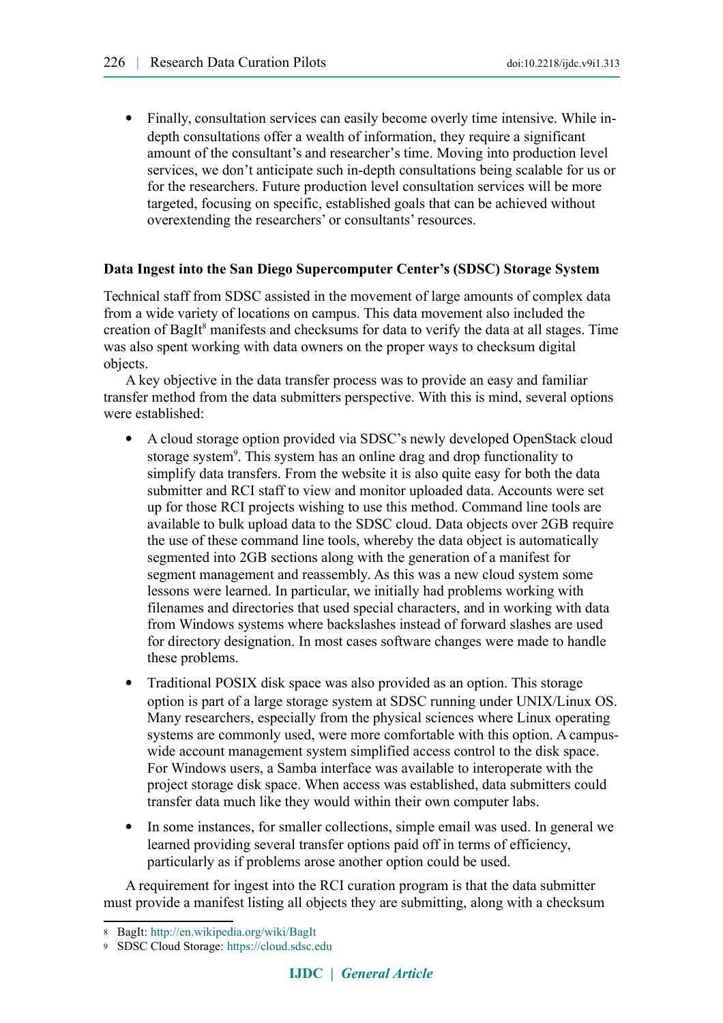Finally, consultation services can easily become overly time intensive. While indepth consultations offer a wealth of information, they require a significant amount of the consultant's and researcher's time. Moving into production level services, we don't anticipate such in-depth consultations being scalable for us or for the researchers. Future production level consultation services will be more targeted, focusing on specific, established goals that can be achieved without overextending the researchers' or consultants' resources.

### **Data Ingest into the San Diego Supercomputer Center's (SDSC) Storage System**

Technical staff from SDSC assisted in the movement of large amounts of complex data from a wide variety of locations on campus. This data movement also included the creation of BagIt<sup>[8](#page-6-0)</sup> manifests and checksums for data to verify the data at all stages. Time was also spent working with data owners on the proper ways to checksum digital objects.

A key objective in the data transfer process was to provide an easy and familiar transfer method from the data submitters perspective. With this is mind, several options were established:

- A cloud storage option provided via SDSC's newly developed OpenStack cloud storage system<sup>[9](#page-6-1)</sup>. This system has an online drag and drop functionality to simplify data transfers. From the website it is also quite easy for both the data submitter and RCI staff to view and monitor uploaded data. Accounts were set up for those RCI projects wishing to use this method. Command line tools are available to bulk upload data to the SDSC cloud. Data objects over 2GB require the use of these command line tools, whereby the data object is automatically segmented into 2GB sections along with the generation of a manifest for segment management and reassembly. As this was a new cloud system some lessons were learned. In particular, we initially had problems working with filenames and directories that used special characters, and in working with data from Windows systems where backslashes instead of forward slashes are used for directory designation. In most cases software changes were made to handle these problems.
- Traditional POSIX disk space was also provided as an option. This storage option is part of a large storage system at SDSC running under UNIX/Linux OS. Many researchers, especially from the physical sciences where Linux operating systems are commonly used, were more comfortable with this option. A campuswide account management system simplified access control to the disk space. For Windows users, a Samba interface was available to interoperate with the project storage disk space. When access was established, data submitters could transfer data much like they would within their own computer labs.
- In some instances, for smaller collections, simple email was used. In general we learned providing several transfer options paid off in terms of efficiency, particularly as if problems arose another option could be used.

A requirement for ingest into the RCI curation program is that the data submitter must provide a manifest listing all objects they are submitting, along with a checksum

<span id="page-6-0"></span><sup>8</sup> BagIt: <http://en.wikipedia.org/wiki/BagIt>

<span id="page-6-1"></span><sup>9</sup> SDSC Cloud Storage: [https://cloud.sdsc.edu](https://cloud.sdsc.edu/)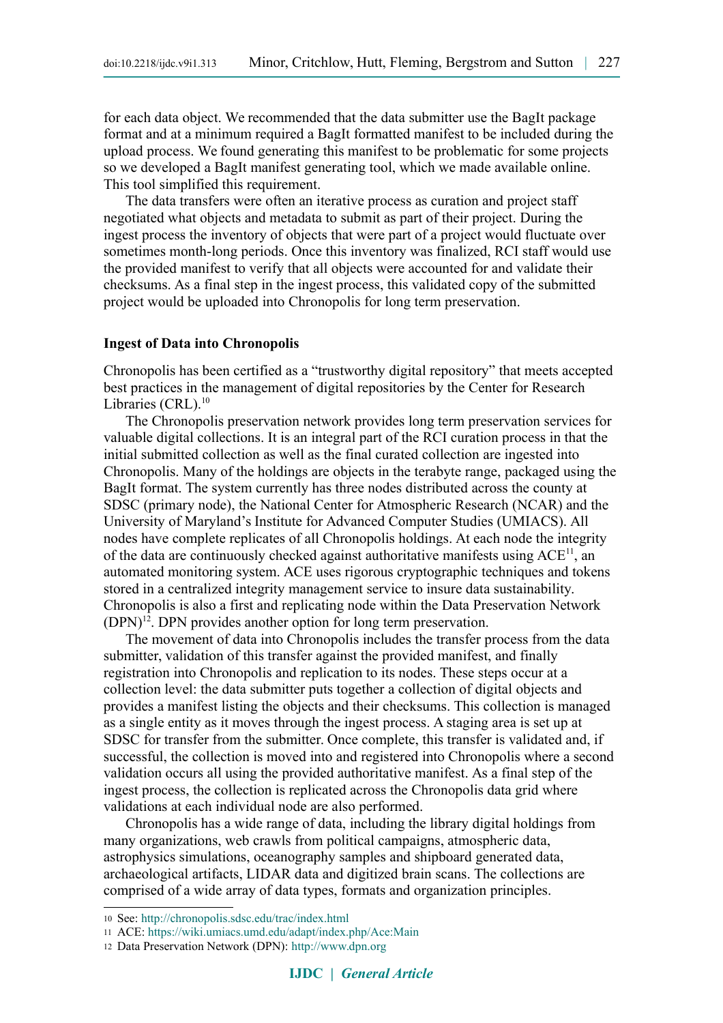for each data object. We recommended that the data submitter use the BagIt package format and at a minimum required a BagIt formatted manifest to be included during the upload process. We found generating this manifest to be problematic for some projects so we developed a BagIt manifest generating tool, which we made available online. This tool simplified this requirement.

The data transfers were often an iterative process as curation and project staff negotiated what objects and metadata to submit as part of their project. During the ingest process the inventory of objects that were part of a project would fluctuate over sometimes month-long periods. Once this inventory was finalized, RCI staff would use the provided manifest to verify that all objects were accounted for and validate their checksums. As a final step in the ingest process, this validated copy of the submitted project would be uploaded into Chronopolis for long term preservation.

#### **Ingest of Data into Chronopolis**

Chronopolis has been certified as a "trustworthy digital repository" that meets accepted best practices in the management of digital repositories by the Center for Research Libraries (CRL).<sup>[10](#page-7-0)</sup>

The Chronopolis preservation network provides long term preservation services for valuable digital collections. It is an integral part of the RCI curation process in that the initial submitted collection as well as the final curated collection are ingested into Chronopolis. Many of the holdings are objects in the terabyte range, packaged using the BagIt format. The system currently has three nodes distributed across the county at SDSC (primary node), the National Center for Atmospheric Research (NCAR) and the University of Maryland's Institute for Advanced Computer Studies (UMIACS). All nodes have complete replicates of all Chronopolis holdings. At each node the integrity of the data are continuously checked against authoritative manifests using  $ACE<sup>11</sup>$  $ACE<sup>11</sup>$  $ACE<sup>11</sup>$ , an automated monitoring system. ACE uses rigorous cryptographic techniques and tokens stored in a centralized integrity management service to insure data sustainability. Chronopolis is also a first and replicating node within the Data Preservation Network  $(DPN)^{12}$  $(DPN)^{12}$  $(DPN)^{12}$ . DPN provides another option for long term preservation.

The movement of data into Chronopolis includes the transfer process from the data submitter, validation of this transfer against the provided manifest, and finally registration into Chronopolis and replication to its nodes. These steps occur at a collection level: the data submitter puts together a collection of digital objects and provides a manifest listing the objects and their checksums. This collection is managed as a single entity as it moves through the ingest process. A staging area is set up at SDSC for transfer from the submitter. Once complete, this transfer is validated and, if successful, the collection is moved into and registered into Chronopolis where a second validation occurs all using the provided authoritative manifest. As a final step of the ingest process, the collection is replicated across the Chronopolis data grid where validations at each individual node are also performed.

Chronopolis has a wide range of data, including the library digital holdings from many organizations, web crawls from political campaigns, atmospheric data, astrophysics simulations, oceanography samples and shipboard generated data, archaeological artifacts, LIDAR data and digitized brain scans. The collections are comprised of a wide array of data types, formats and organization principles.

<span id="page-7-0"></span><sup>10</sup> See: <http://chronopolis.sdsc.edu/trac/index.html>

<span id="page-7-1"></span><sup>11</sup> ACE: <https://wiki.umiacs.umd.edu/adapt/index.php/Ace:Main>

<span id="page-7-2"></span><sup>12</sup> Data Preservation Network (DPN): [http://www.dpn.org](http://www.dpn.org/)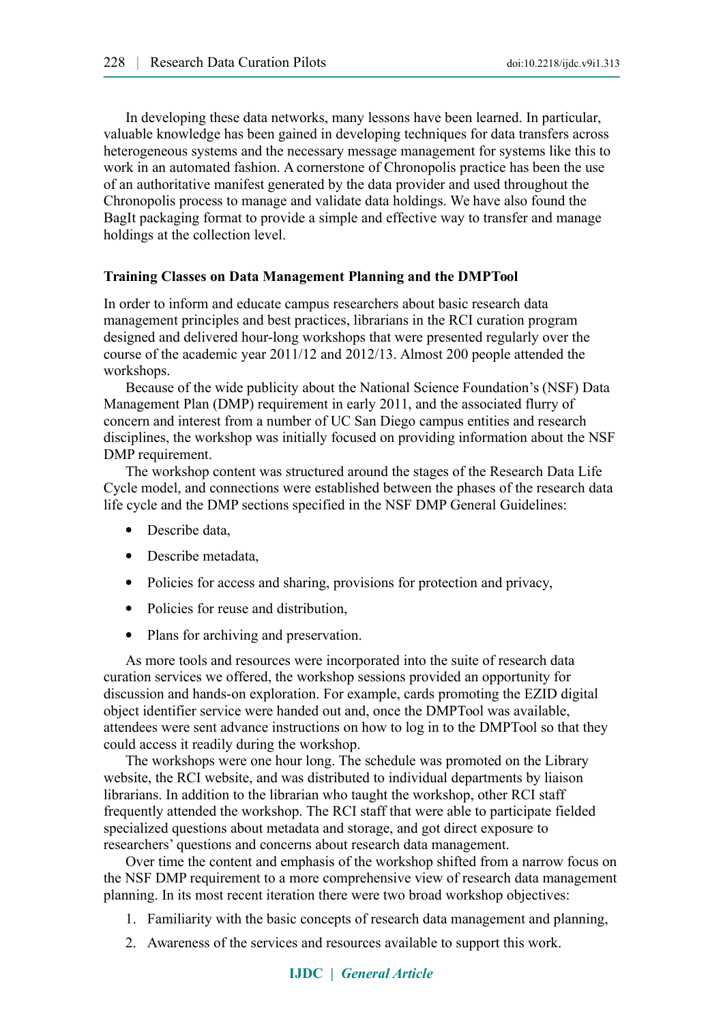In developing these data networks, many lessons have been learned. In particular, valuable knowledge has been gained in developing techniques for data transfers across heterogeneous systems and the necessary message management for systems like this to work in an automated fashion. A cornerstone of Chronopolis practice has been the use of an authoritative manifest generated by the data provider and used throughout the Chronopolis process to manage and validate data holdings. We have also found the BagIt packaging format to provide a simple and effective way to transfer and manage holdings at the collection level.

### **Training Classes on Data Management Planning and the DMPTool**

In order to inform and educate campus researchers about basic research data management principles and best practices, librarians in the RCI curation program designed and delivered hour-long workshops that were presented regularly over the course of the academic year 2011/12 and 2012/13. Almost 200 people attended the workshops.

Because of the wide publicity about the National Science Foundation's (NSF) Data Management Plan (DMP) requirement in early 2011, and the associated flurry of concern and interest from a number of UC San Diego campus entities and research disciplines, the workshop was initially focused on providing information about the NSF DMP requirement.

The workshop content was structured around the stages of the Research Data Life Cycle model, and connections were established between the phases of the research data life cycle and the DMP sections specified in the NSF DMP General Guidelines:

- Describe data,
- Describe metadata.
- Policies for access and sharing, provisions for protection and privacy,
- Policies for reuse and distribution,
- Plans for archiving and preservation.

As more tools and resources were incorporated into the suite of research data curation services we offered, the workshop sessions provided an opportunity for discussion and hands-on exploration. For example, cards promoting the EZID digital object identifier service were handed out and, once the DMPTool was available, attendees were sent advance instructions on how to log in to the DMPTool so that they could access it readily during the workshop.

The workshops were one hour long. The schedule was promoted on the Library website, the RCI website, and was distributed to individual departments by liaison librarians. In addition to the librarian who taught the workshop, other RCI staff frequently attended the workshop. The RCI staff that were able to participate fielded specialized questions about metadata and storage, and got direct exposure to researchers' questions and concerns about research data management.

Over time the content and emphasis of the workshop shifted from a narrow focus on the NSF DMP requirement to a more comprehensive view of research data management planning. In its most recent iteration there were two broad workshop objectives:

- 1. Familiarity with the basic concepts of research data management and planning,
- 2. Awareness of the services and resources available to support this work.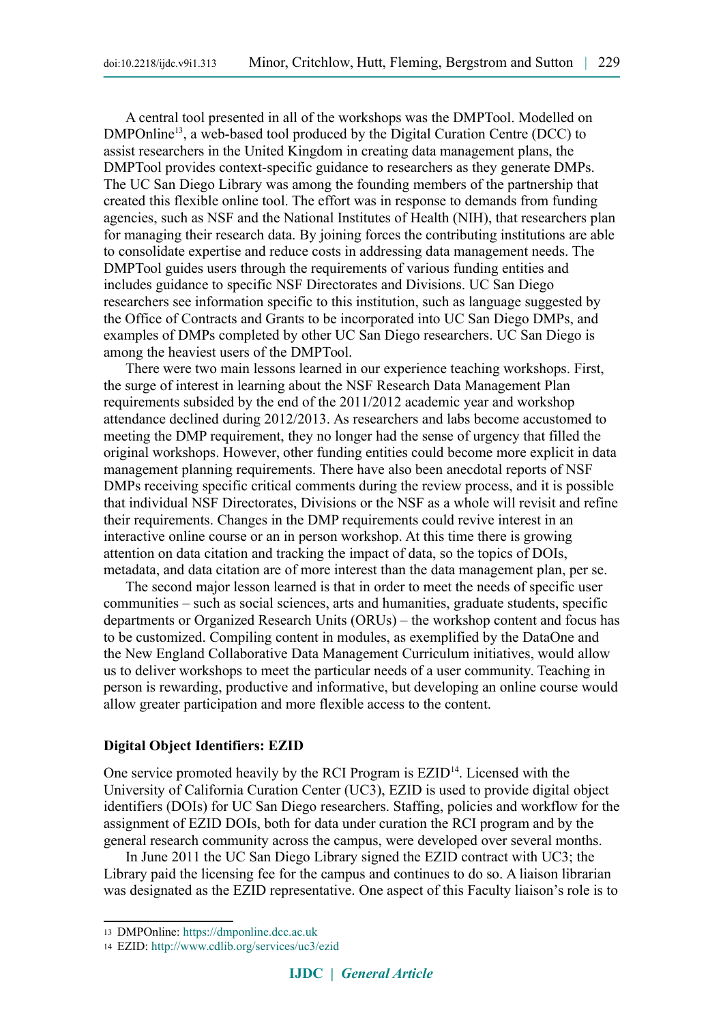A central tool presented in all of the workshops was the DMPTool. Modelled on DMPOnline<sup>[13](#page-9-0)</sup>, a web-based tool produced by the Digital Curation Centre (DCC) to assist researchers in the United Kingdom in creating data management plans, the DMPTool provides context-specific guidance to researchers as they generate DMPs. The UC San Diego Library was among the founding members of the partnership that created this flexible online tool. The effort was in response to demands from funding agencies, such as NSF and the National Institutes of Health (NIH), that researchers plan for managing their research data. By joining forces the contributing institutions are able to consolidate expertise and reduce costs in addressing data management needs. The DMPTool guides users through the requirements of various funding entities and includes guidance to specific NSF Directorates and Divisions. UC San Diego researchers see information specific to this institution, such as language suggested by the Office of Contracts and Grants to be incorporated into UC San Diego DMPs, and examples of DMPs completed by other UC San Diego researchers. UC San Diego is among the heaviest users of the DMPTool.

There were two main lessons learned in our experience teaching workshops. First, the surge of interest in learning about the NSF Research Data Management Plan requirements subsided by the end of the 2011/2012 academic year and workshop attendance declined during 2012/2013. As researchers and labs become accustomed to meeting the DMP requirement, they no longer had the sense of urgency that filled the original workshops. However, other funding entities could become more explicit in data management planning requirements. There have also been anecdotal reports of NSF DMPs receiving specific critical comments during the review process, and it is possible that individual NSF Directorates, Divisions or the NSF as a whole will revisit and refine their requirements. Changes in the DMP requirements could revive interest in an interactive online course or an in person workshop. At this time there is growing attention on data citation and tracking the impact of data, so the topics of DOIs, metadata, and data citation are of more interest than the data management plan, per se.

The second major lesson learned is that in order to meet the needs of specific user communities – such as social sciences, arts and humanities, graduate students, specific departments or Organized Research Units (ORUs) – the workshop content and focus has to be customized. Compiling content in modules, as exemplified by the DataOne and the New England Collaborative Data Management Curriculum initiatives, would allow us to deliver workshops to meet the particular needs of a user community. Teaching in person is rewarding, productive and informative, but developing an online course would allow greater participation and more flexible access to the content.

#### **Digital Object Identifiers: EZID**

One service promoted heavily by the RCI Program is EZID<sup>[14](#page-9-1)</sup>. Licensed with the University of California Curation Center (UC3), EZID is used to provide digital object identifiers (DOIs) for UC San Diego researchers. Staffing, policies and workflow for the assignment of EZID DOIs, both for data under curation the RCI program and by the general research community across the campus, were developed over several months.

In June 2011 the UC San Diego Library signed the EZID contract with UC3; the Library paid the licensing fee for the campus and continues to do so. A liaison librarian was designated as the EZID representative. One aspect of this Faculty liaison's role is to

<span id="page-9-0"></span><sup>13</sup> DMPOnline: [https://dmponline.dcc.ac.uk](https://dmponline.dcc.ac.uk/)

<span id="page-9-1"></span><sup>14</sup> EZID:<http://www.cdlib.org/services/uc3/ezid>